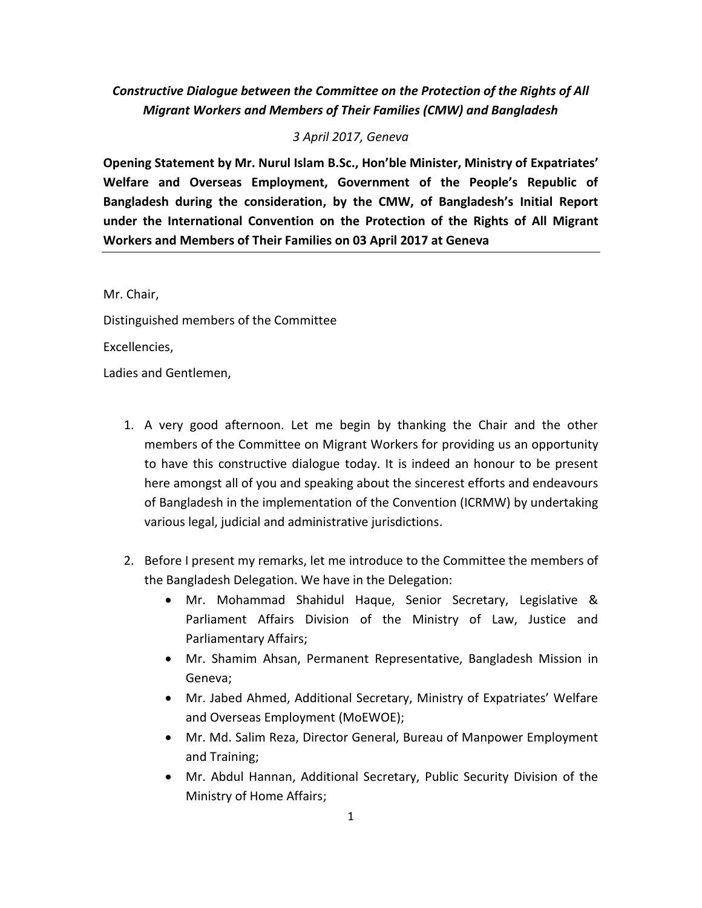# *Constructive Dialogue between the Committee on the Protection of the Rights of All Migrant Workers and Members of Their Families (CMW) and Bangladesh*

### *3 April 2017, Geneva*

**Opening Statement by Mr. Nurul Islam B.Sc., Hon'ble Minister, Ministry of Expatriates' Welfare and Overseas Employment, Government of the People's Republic of Bangladesh during the consideration, by the CMW, of Bangladesh's Initial Report under the International Convention on the Protection of the Rights of All Migrant Workers and Members of Their Families on 03 April 2017 at Geneva**

Mr. Chair,

Distinguished members of the Committee

Excellencies,

Ladies and Gentlemen,

- 1. A very good afternoon. Let me begin by thanking the Chair and the other members of the Committee on Migrant Workers for providing us an opportunity to have this constructive dialogue today. It is indeed an honour to be present here amongst all of you and speaking about the sincerest efforts and endeavours of Bangladesh in the implementation of the Convention (ICRMW) by undertaking various legal, judicial and administrative jurisdictions.
- 2. Before I present my remarks, let me introduce to the Committee the members of the Bangladesh Delegation. We have in the Delegation:
	- Mr. Mohammad Shahidul Haque, Senior Secretary, Legislative & Parliament Affairs Division of the Ministry of Law, Justice and Parliamentary Affairs;
	- Mr. Shamim Ahsan, Permanent Representative, Bangladesh Mission in Geneva;
	- Mr. Jabed Ahmed, Additional Secretary, Ministry of Expatriates' Welfare and Overseas Employment (MoEWOE);
	- Mr. Md. Salim Reza, Director General, Bureau of Manpower Employment and Training;
	- Mr. Abdul Hannan, Additional Secretary, Public Security Division of the Ministry of Home Affairs;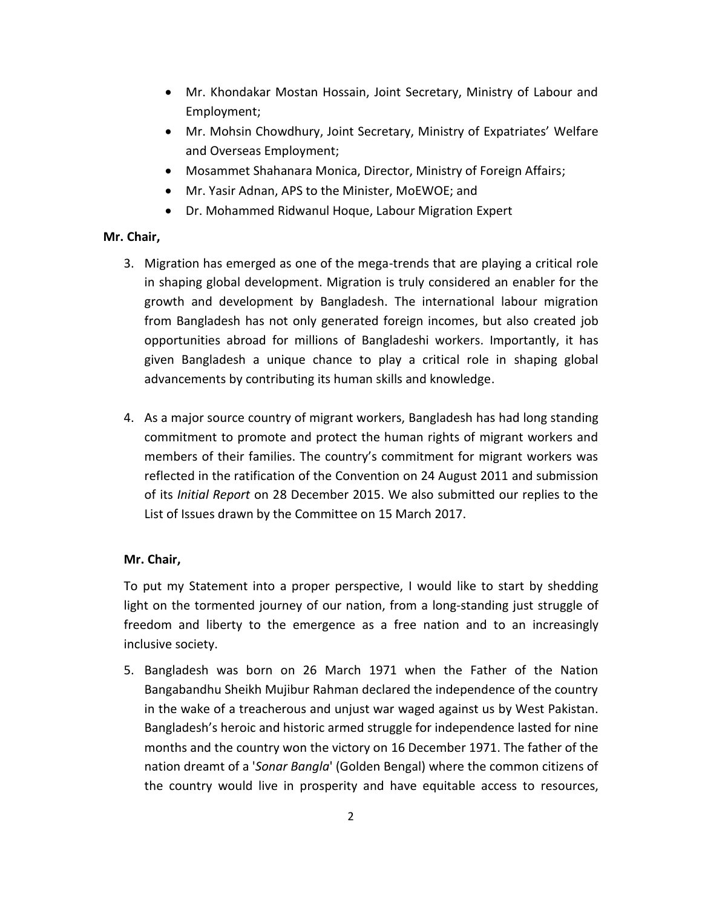- Mr. Khondakar Mostan Hossain, Joint Secretary, Ministry of Labour and Employment;
- Mr. Mohsin Chowdhury, Joint Secretary, Ministry of Expatriates' Welfare and Overseas Employment;
- Mosammet Shahanara Monica, Director, Ministry of Foreign Affairs;
- Mr. Yasir Adnan, APS to the Minister, MoEWOE; and
- Dr. Mohammed Ridwanul Hoque, Labour Migration Expert

## **Mr. Chair,**

- 3. Migration has emerged as one of the mega-trends that are playing a critical role in shaping global development. Migration is truly considered an enabler for the growth and development by Bangladesh. The international labour migration from Bangladesh has not only generated foreign incomes, but also created job opportunities abroad for millions of Bangladeshi workers. Importantly, it has given Bangladesh a unique chance to play a critical role in shaping global advancements by contributing its human skills and knowledge.
- 4. As a major source country of migrant workers, Bangladesh has had long standing commitment to promote and protect the human rights of migrant workers and members of their families. The country's commitment for migrant workers was reflected in the ratification of the Convention on 24 August 2011 and submission of its *Initial Report* on 28 December 2015. We also submitted our replies to the List of Issues drawn by the Committee on 15 March 2017.

## **Mr. Chair,**

To put my Statement into a proper perspective, I would like to start by shedding light on the tormented journey of our nation, from a long-standing just struggle of freedom and liberty to the emergence as a free nation and to an increasingly inclusive society.

5. Bangladesh was born on 26 March 1971 when the Father of the Nation Bangabandhu Sheikh Mujibur Rahman declared the independence of the country in the wake of a treacherous and unjust war waged against us by West Pakistan. Bangladesh's heroic and historic armed struggle for independence lasted for nine months and the country won the victory on 16 December 1971. The father of the nation dreamt of a '*Sonar Bangla*' (Golden Bengal) where the common citizens of the country would live in prosperity and have equitable access to resources,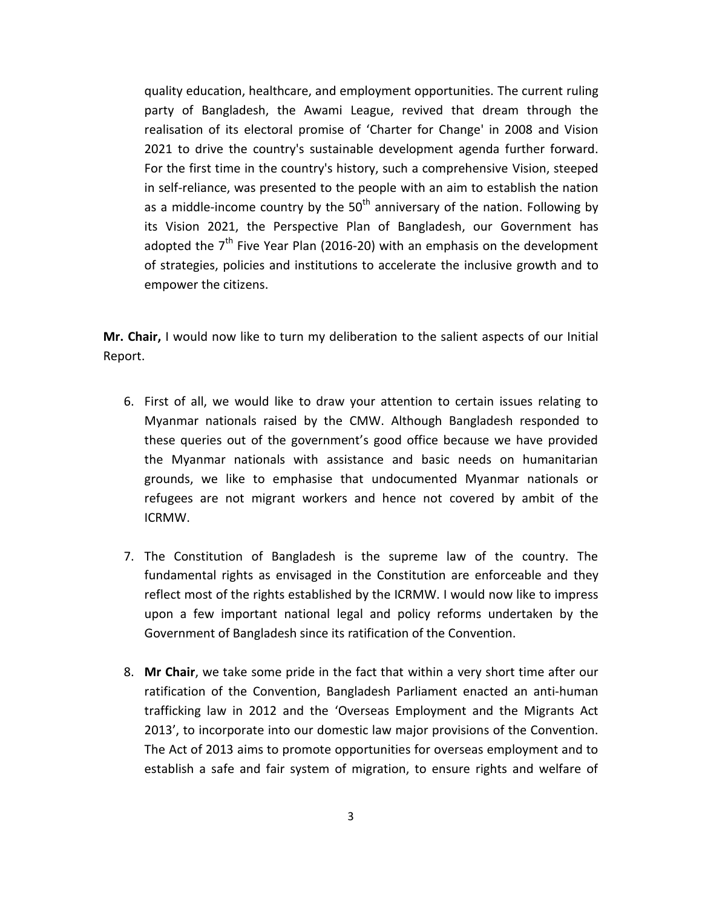quality education, healthcare, and employment opportunities. The current ruling party of Bangladesh, the Awami League, revived that dream through the realisation of its electoral promise of 'Charter for Change' in 2008 and Vision 2021 to drive the country's sustainable development agenda further forward. For the first time in the country's history, such a comprehensive Vision, steeped in self-reliance, was presented to the people with an aim to establish the nation as a middle-income country by the  $50<sup>th</sup>$  anniversary of the nation. Following by its Vision 2021, the Perspective Plan of Bangladesh, our Government has adopted the  $7<sup>th</sup>$  Five Year Plan (2016-20) with an emphasis on the development of strategies, policies and institutions to accelerate the inclusive growth and to empower the citizens.

**Mr. Chair,** I would now like to turn my deliberation to the salient aspects of our Initial Report.

- 6. First of all, we would like to draw your attention to certain issues relating to Myanmar nationals raised by the CMW. Although Bangladesh responded to these queries out of the government's good office because we have provided the Myanmar nationals with assistance and basic needs on humanitarian grounds, we like to emphasise that undocumented Myanmar nationals or refugees are not migrant workers and hence not covered by ambit of the ICRMW.
- 7. The Constitution of Bangladesh is the supreme law of the country. The fundamental rights as envisaged in the Constitution are enforceable and they reflect most of the rights established by the ICRMW. I would now like to impress upon a few important national legal and policy reforms undertaken by the Government of Bangladesh since its ratification of the Convention.
- 8. **Mr Chair**, we take some pride in the fact that within a very short time after our ratification of the Convention, Bangladesh Parliament enacted an anti-human trafficking law in 2012 and the 'Overseas Employment and the Migrants Act 2013', to incorporate into our domestic law major provisions of the Convention. The Act of 2013 aims to promote opportunities for overseas employment and to establish a safe and fair system of migration, to ensure rights and welfare of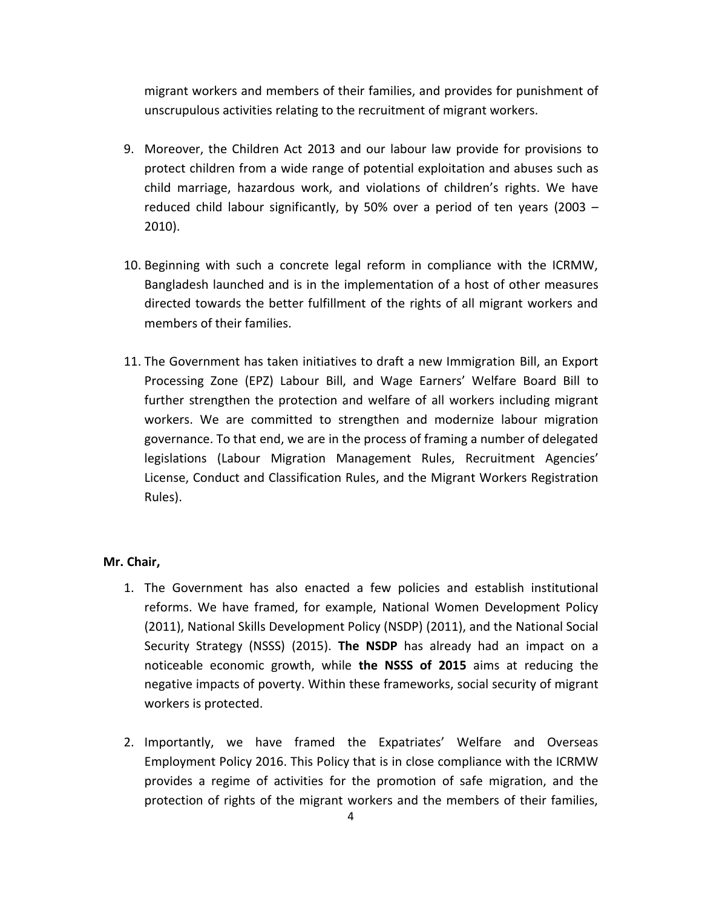migrant workers and members of their families, and provides for punishment of unscrupulous activities relating to the recruitment of migrant workers.

- 9. Moreover, the Children Act 2013 and our labour law provide for provisions to protect children from a wide range of potential exploitation and abuses such as child marriage, hazardous work, and violations of children's rights. We have reduced child labour significantly, by 50% over a period of ten years (2003 – 2010).
- 10. Beginning with such a concrete legal reform in compliance with the ICRMW, Bangladesh launched and is in the implementation of a host of other measures directed towards the better fulfillment of the rights of all migrant workers and members of their families.
- 11. The Government has taken initiatives to draft a new Immigration Bill, an Export Processing Zone (EPZ) Labour Bill, and Wage Earners' Welfare Board Bill to further strengthen the protection and welfare of all workers including migrant workers. We are committed to strengthen and modernize labour migration governance. To that end, we are in the process of framing a number of delegated legislations (Labour Migration Management Rules, Recruitment Agencies' License, Conduct and Classification Rules, and the Migrant Workers Registration Rules).

- 1. The Government has also enacted a few policies and establish institutional reforms. We have framed, for example, National Women Development Policy (2011), National Skills Development Policy (NSDP) (2011), and the National Social Security Strategy (NSSS) (2015). **The NSDP** has already had an impact on a noticeable economic growth, while **the NSSS of 2015** aims at reducing the negative impacts of poverty. Within these frameworks, social security of migrant workers is protected.
- 2. Importantly, we have framed the Expatriates' Welfare and Overseas Employment Policy 2016. This Policy that is in close compliance with the ICRMW provides a regime of activities for the promotion of safe migration, and the protection of rights of the migrant workers and the members of their families,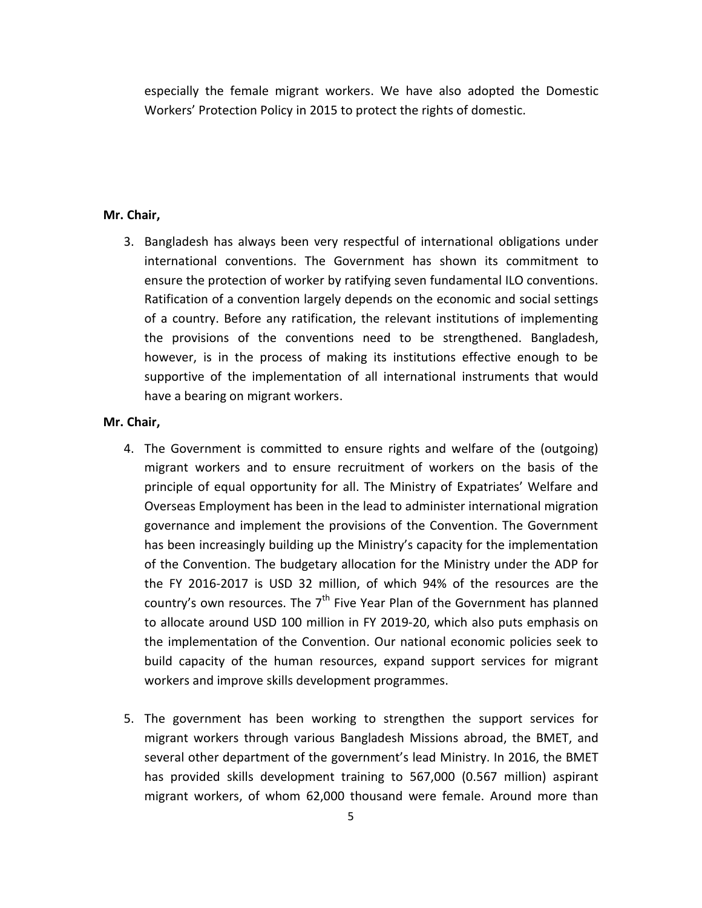especially the female migrant workers. We have also adopted the Domestic Workers' Protection Policy in 2015 to protect the rights of domestic.

#### **Mr. Chair,**

3. Bangladesh has always been very respectful of international obligations under international conventions. The Government has shown its commitment to ensure the protection of worker by ratifying seven fundamental ILO conventions. Ratification of a convention largely depends on the economic and social settings of a country. Before any ratification, the relevant institutions of implementing the provisions of the conventions need to be strengthened. Bangladesh, however, is in the process of making its institutions effective enough to be supportive of the implementation of all international instruments that would have a bearing on migrant workers.

- 4. The Government is committed to ensure rights and welfare of the (outgoing) migrant workers and to ensure recruitment of workers on the basis of the principle of equal opportunity for all. The Ministry of Expatriates' Welfare and Overseas Employment has been in the lead to administer international migration governance and implement the provisions of the Convention. The Government has been increasingly building up the Ministry's capacity for the implementation of the Convention. The budgetary allocation for the Ministry under the ADP for the FY 2016-2017 is USD 32 million, of which 94% of the resources are the country's own resources. The  $7<sup>th</sup>$  Five Year Plan of the Government has planned to allocate around USD 100 million in FY 2019-20, which also puts emphasis on the implementation of the Convention. Our national economic policies seek to build capacity of the human resources, expand support services for migrant workers and improve skills development programmes.
- 5. The government has been working to strengthen the support services for migrant workers through various Bangladesh Missions abroad, the BMET, and several other department of the government's lead Ministry. In 2016, the BMET has provided skills development training to 567,000 (0.567 million) aspirant migrant workers, of whom 62,000 thousand were female. Around more than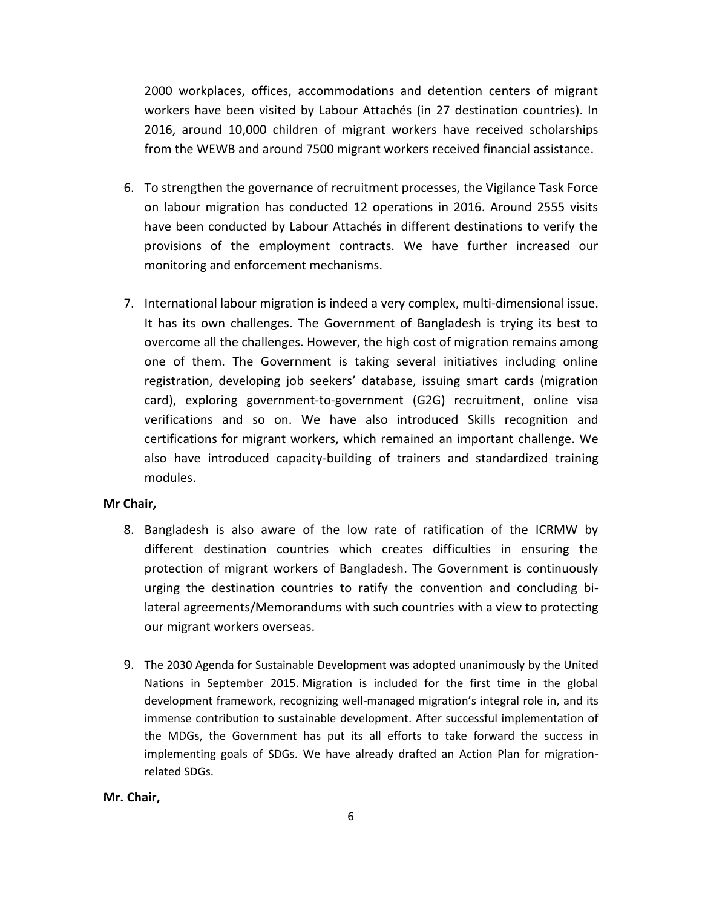2000 workplaces, offices, accommodations and detention centers of migrant workers have been visited by Labour Attachés (in 27 destination countries). In 2016, around 10,000 children of migrant workers have received scholarships from the WEWB and around 7500 migrant workers received financial assistance.

- 6. To strengthen the governance of recruitment processes, the Vigilance Task Force on labour migration has conducted 12 operations in 2016. Around 2555 visits have been conducted by Labour Attachés in different destinations to verify the provisions of the employment contracts. We have further increased our monitoring and enforcement mechanisms.
- 7. International labour migration is indeed a very complex, multi-dimensional issue. It has its own challenges. The Government of Bangladesh is trying its best to overcome all the challenges. However, the high cost of migration remains among one of them. The Government is taking several initiatives including online registration, developing job seekers' database, issuing smart cards (migration card), exploring government-to-government (G2G) recruitment, online visa verifications and so on. We have also introduced Skills recognition and certifications for migrant workers, which remained an important challenge. We also have introduced capacity-building of trainers and standardized training modules.

### **Mr Chair,**

- 8. Bangladesh is also aware of the low rate of ratification of the ICRMW by different destination countries which creates difficulties in ensuring the protection of migrant workers of Bangladesh. The Government is continuously urging the destination countries to ratify the convention and concluding bilateral agreements/Memorandums with such countries with a view to protecting our migrant workers overseas.
- 9. The 2030 Agenda for Sustainable Development was adopted unanimously by the United Nations in September 2015. Migration is included for the first time in the global development framework, recognizing well-managed migration's integral role in, and its immense contribution to sustainable development. After successful implementation of the MDGs, the Government has put its all efforts to take forward the success in implementing goals of SDGs. We have already drafted an Action Plan for migrationrelated SDGs.